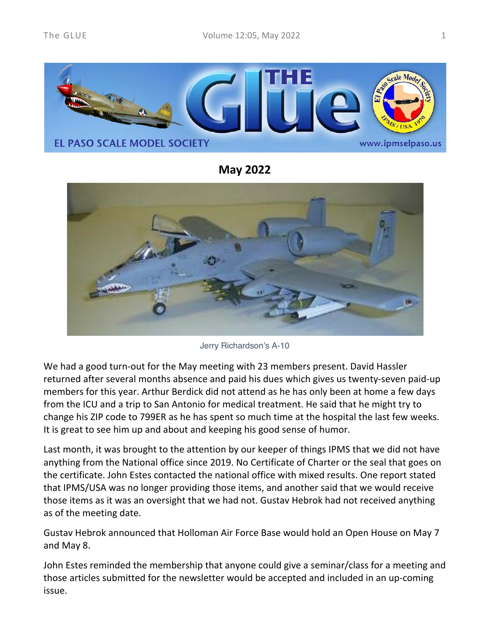

**May 2022**



Jerry Richardson's A-10

We had a good turn-out for the May meeting with 23 members present. David Hassler returned after several months absence and paid his dues which gives us twenty-seven paid-up members for this year. Arthur Berdick did not attend as he has only been at home a few days from the ICU and a trip to San Antonio for medical treatment. He said that he might try to change his ZIP code to 799ER as he has spent so much time at the hospital the last few weeks. It is great to see him up and about and keeping his good sense of humor.

Last month, it was brought to the attention by our keeper of things IPMS that we did not have anything from the National office since 2019. No Certificate of Charter or the seal that goes on the certificate. John Estes contacted the national office with mixed results. One report stated that IPMS/USA was no longer providing those items, and another said that we would receive those items as it was an oversight that we had not. Gustav Hebrok had not received anything as of the meeting date.

Gustav Hebrok announced that Holloman Air Force Base would hold an Open House on May 7 and May 8.

John Estes reminded the membership that anyone could give a seminar/class for a meeting and those articles submitted for the newsletter would be accepted and included in an up-coming issue.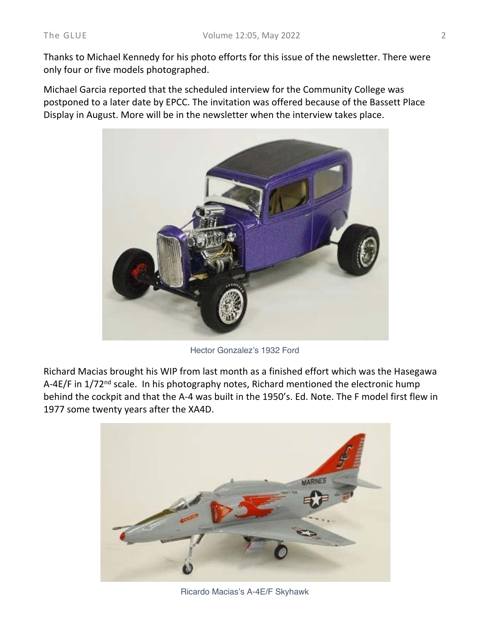Thanks to Michael Kennedy for his photo efforts for this issue of the newsletter. There were only four or five models photographed.

Michael Garcia reported that the scheduled interview for the Community College was postponed to a later date by EPCC. The invitation was offered because of the Bassett Place Display in August. More will be in the newsletter when the interview takes place.



Hector Gonzalez's 1932 Ford

Richard Macias brought his WIP from last month as a finished effort which was the Hasegawa A-4E/F in 1/72<sup>nd</sup> scale. In his photography notes, Richard mentioned the electronic hump behind the cockpit and that the A-4 was built in the 1950's. Ed. Note. The F model first flew in 1977 some twenty years after the XA4D.



Ricardo Macias's A-4E/F Skyhawk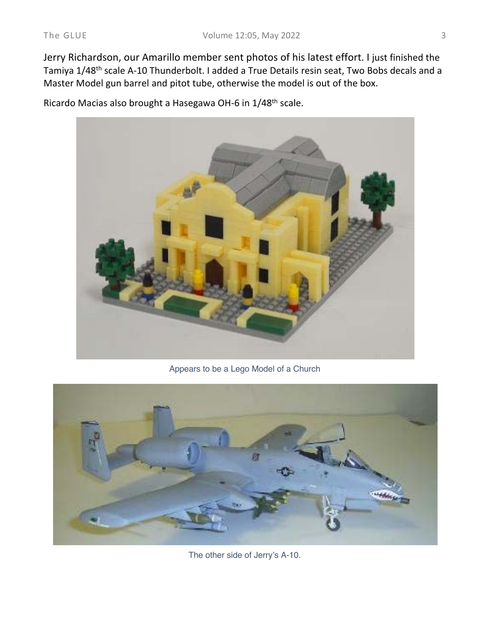Jerry Richardson, our Amarillo member sent photos of his latest effort. I just finished the Tamiya 1/48th scale A-10 Thunderbolt. I added a True Details resin seat, Two Bobs decals and a Master Model gun barrel and pitot tube, otherwise the model is out of the box.

Ricardo Macias also brought a Hasegawa OH-6 in 1/48th scale.



Appears to be a Lego Model of a Church



The other side of Jerry's A-10.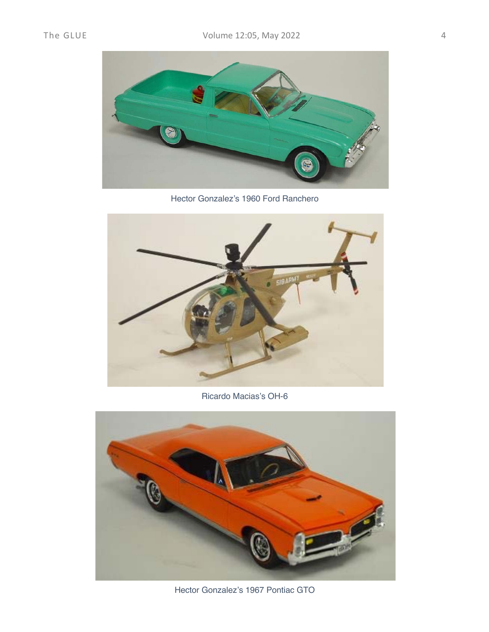

Hector Gonzalez's 1960 Ford Ranchero



Ricardo Macias's OH-6



Hector Gonzalez's 1967 Pontiac GTO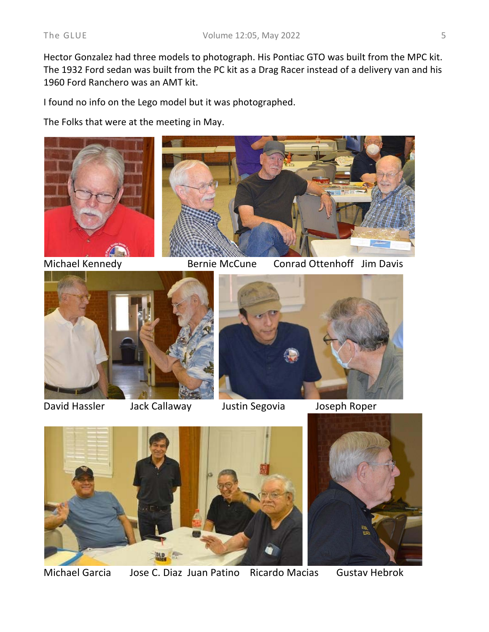Hector Gonzalez had three models to photograph. His Pontiac GTO was built from the MPC kit. The 1932 Ford sedan was built from the PC kit as a Drag Racer instead of a delivery van and his 1960 Ford Ranchero was an AMT kit.

I found no info on the Lego model but it was photographed.

The Folks that were at the meeting in May.



Michael Kennedy Bernie McCune Conrad Ottenhoff Jim Davis



David Hassler Jack Callaway Justin Segovia Joseph Roper





Michael Garcia Jose C. Diaz Juan Patino Ricardo Macias Gustav Hebrok